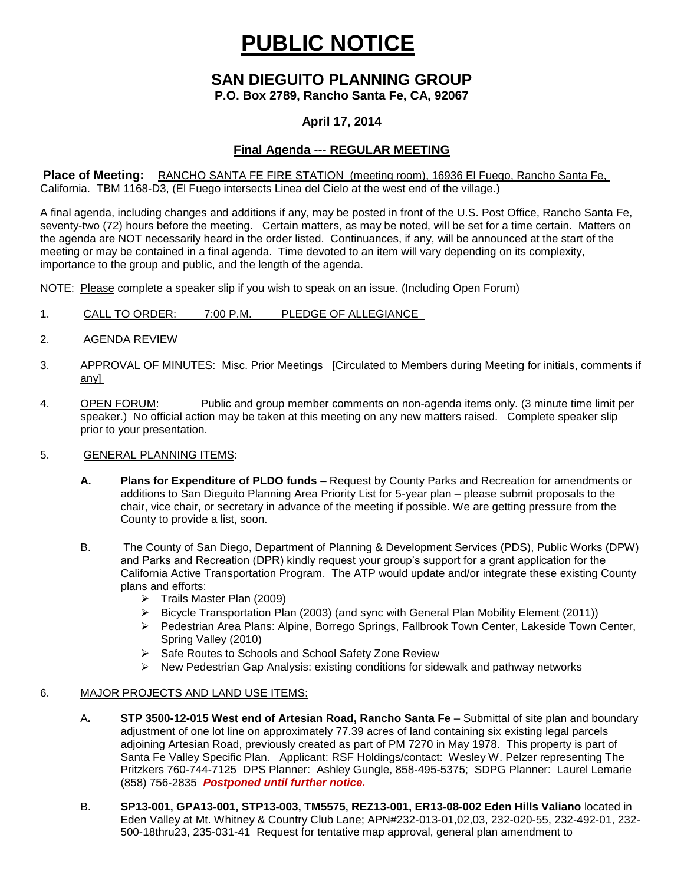# **PUBLIC NOTICE**

# **SAN DIEGUITO PLANNING GROUP**

**P.O. Box 2789, Rancho Santa Fe, CA, 92067**

## **April 17, 2014**

## **Final Agenda --- REGULAR MEETING**

#### **Place of Meeting:** RANCHO SANTA FE FIRE STATION (meeting room), 16936 El Fuego, Rancho Santa Fe, California. TBM 1168-D3, (El Fuego intersects Linea del Cielo at the west end of the village.)

A final agenda, including changes and additions if any, may be posted in front of the U.S. Post Office, Rancho Santa Fe, seventy-two (72) hours before the meeting. Certain matters, as may be noted, will be set for a time certain. Matters on the agenda are NOT necessarily heard in the order listed. Continuances, if any, will be announced at the start of the meeting or may be contained in a final agenda. Time devoted to an item will vary depending on its complexity, importance to the group and public, and the length of the agenda.

NOTE: Please complete a speaker slip if you wish to speak on an issue. (Including Open Forum)

- 1. CALL TO ORDER: 7:00 P.M. PLEDGE OF ALLEGIANCE
- 2. AGENDA REVIEW
- 3. APPROVAL OF MINUTES: Misc. Prior Meetings [Circulated to Members during Meeting for initials, comments if any]
- 4. OPEN FORUM: Public and group member comments on non-agenda items only. (3 minute time limit per speaker.) No official action may be taken at this meeting on any new matters raised. Complete speaker slip prior to your presentation.

#### 5. GENERAL PLANNING ITEMS:

- **A. Plans for Expenditure of PLDO funds –** Request by County Parks and Recreation for amendments or additions to San Dieguito Planning Area Priority List for 5-year plan – please submit proposals to the chair, vice chair, or secretary in advance of the meeting if possible. We are getting pressure from the County to provide a list, soon.
- B. The County of San Diego, Department of Planning & Development Services (PDS), Public Works (DPW) and Parks and Recreation (DPR) kindly request your group's support for a grant application for the California Active Transportation Program. The ATP would update and/or integrate these existing County plans and efforts:
	- $\triangleright$  Trails Master Plan (2009)
	- $\triangleright$  Bicycle Transportation Plan (2003) (and sync with General Plan Mobility Element (2011))
	- Pedestrian Area Plans: Alpine, Borrego Springs, Fallbrook Town Center, Lakeside Town Center, Spring Valley (2010)
	- ▶ Safe Routes to Schools and School Safety Zone Review
	- $\triangleright$  New Pedestrian Gap Analysis: existing conditions for sidewalk and pathway networks

#### 6. MAJOR PROJECTS AND LAND USE ITEMS:

- A**. STP 3500-12-015 West end of Artesian Road, Rancho Santa Fe** Submittal of site plan and boundary adjustment of one lot line on approximately 77.39 acres of land containing six existing legal parcels adjoining Artesian Road, previously created as part of PM 7270 in May 1978. This property is part of Santa Fe Valley Specific Plan.Applicant: RSF Holdings/contact: Wesley W. Pelzer representing The Pritzkers 760-744-7125 DPS Planner: Ashley Gungle, 858-495-5375; SDPG Planner: Laurel Lemarie (858) 756-2835 *Postponed until further notice.*
- B. **SP13-001, GPA13-001, STP13-003, TM5575, REZ13-001, ER13-08-002 Eden Hills Valiano** located in Eden Valley at Mt. Whitney & Country Club Lane; APN#232-013-01,02,03, 232-020-55, 232-492-01, 232- 500-18thru23, 235-031-41 Request for tentative map approval, general plan amendment to